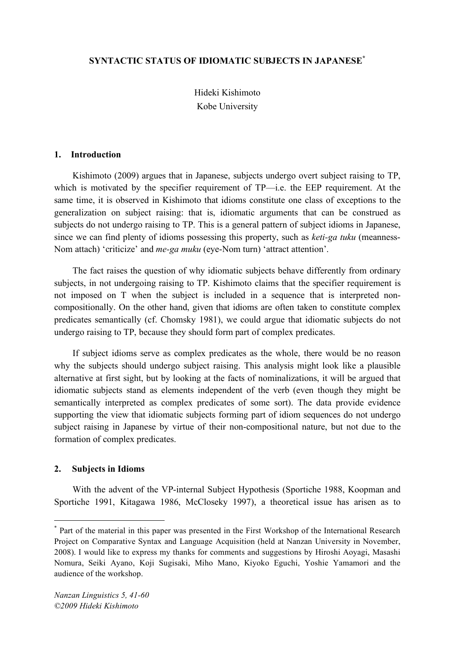## **SYNTACTIC STATUS OF IDIOMATIC SUBJECTS IN JAPANESE\***

Hideki Kishimoto Kobe University

#### **1. Introduction**

Kishimoto (2009) argues that in Japanese, subjects undergo overt subject raising to TP, which is motivated by the specifier requirement of  $TP$ —i.e. the EEP requirement. At the same time, it is observed in Kishimoto that idioms constitute one class of exceptions to the generalization on subject raising: that is, idiomatic arguments that can be construed as subjects do not undergo raising to TP. This is a general pattern of subject idioms in Japanese, since we can find plenty of idioms possessing this property, such as *keti-ga tuku* (meanness-Nom attach) 'criticize' and *me-ga muku* (eye-Nom turn) 'attract attention'.

The fact raises the question of why idiomatic subjects behave differently from ordinary subjects, in not undergoing raising to TP. Kishimoto claims that the specifier requirement is not imposed on T when the subject is included in a sequence that is interpreted noncompositionally. On the other hand, given that idioms are often taken to constitute complex predicates semantically (cf. Chomsky 1981), we could argue that idiomatic subjects do not undergo raising to TP, because they should form part of complex predicates.

If subject idioms serve as complex predicates as the whole, there would be no reason why the subjects should undergo subject raising. This analysis might look like a plausible alternative at first sight, but by looking at the facts of nominalizations, it will be argued that idiomatic subjects stand as elements independent of the verb (even though they might be semantically interpreted as complex predicates of some sort). The data provide evidence supporting the view that idiomatic subjects forming part of idiom sequences do not undergo subject raising in Japanese by virtue of their non-compositional nature, but not due to the formation of complex predicates.

### **2. Subjects in Idioms**

With the advent of the VP-internal Subject Hypothesis (Sportiche 1988, Koopman and Sportiche 1991, Kitagawa 1986, McCloseky 1997), a theoretical issue has arisen as to

 <sup>\*</sup> Part of the material in this paper was presented in the First Workshop of the International Research Project on Comparative Syntax and Language Acquisition (held at Nanzan University in November, 2008). I would like to express my thanks for comments and suggestions by Hiroshi Aoyagi, Masashi Nomura, Seiki Ayano, Koji Sugisaki, Miho Mano, Kiyoko Eguchi, Yoshie Yamamori and the audience of the workshop.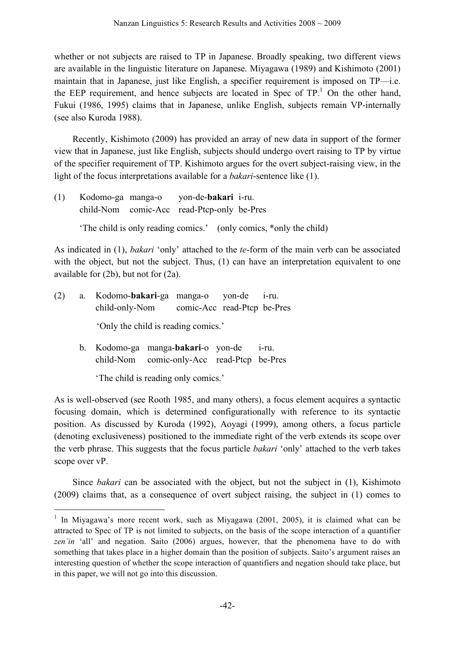whether or not subjects are raised to TP in Japanese. Broadly speaking, two different views are available in the linguistic literature on Japanese. Miyagawa (1989) and Kishimoto (2001) maintain that in Japanese, just like English, a specifier requirement is imposed on TP—i.e. the EEP requirement, and hence subjects are located in Spec of  $TP<sup>1</sup>$ . On the other hand, Fukui (1986, 1995) claims that in Japanese, unlike English, subjects remain VP-internally (see also Kuroda 1988).

Recently, Kishimoto (2009) has provided an array of new data in support of the former view that in Japanese, just like English, subjects should undergo overt raising to TP by virtue of the specifier requirement of TP. Kishimoto argues for the overt subject-raising view, in the light of the focus interpretations available for a *bakari*-sentence like (1).

(1) Kodomo-ga manga-o yon-de-**bakari** i-ru. child-Nom comic-Acc read-Ptcp-only be-Pres 'The child is only reading comics.' (only comics, \*only the child)

As indicated in (1), *bakari* 'only' attached to the *te*-form of the main verb can be associated with the object, but not the subject. Thus, (1) can have an interpretation equivalent to one available for (2b), but not for (2a).

| (2) | a. Kodomo-bakari-ga manga-o yon-de i-ru.   |  |  |
|-----|--------------------------------------------|--|--|
|     | child-only-Nom comic-Acc read-Ptcp be-Pres |  |  |
|     | 'Only the child is reading comics.'        |  |  |

b. Kodomo-ga manga-**bakari**-o yon-de i-ru. child-Nom comic-only-Acc read-Ptcp be-Pres

'The child is reading only comics.'

As is well-observed (see Rooth 1985, and many others), a focus element acquires a syntactic focusing domain, which is determined configurationally with reference to its syntactic position. As discussed by Kuroda (1992), Aoyagi (1999), among others, a focus particle (denoting exclusiveness) positioned to the immediate right of the verb extends its scope over the verb phrase. This suggests that the focus particle *bakari* 'only' attached to the verb takes scope over vP.

Since *bakari* can be associated with the object, but not the subject in (1), Kishimoto (2009) claims that, as a consequence of overt subject raising, the subject in (1) comes to

 $1$  In Miyagawa's more recent work, such as Miyagawa (2001, 2005), it is claimed what can be attracted to Spec of TP is not limited to subjects, on the basis of the scope interaction of a quantifier zen'in 'all' and negation. Saito (2006) argues, however, that the phenomena have to do with something that takes place in a higher domain than the position of subjects. Saito's argument raises an interesting question of whether the scope interaction of quantifiers and negation should take place, but in this paper, we will not go into this discussion.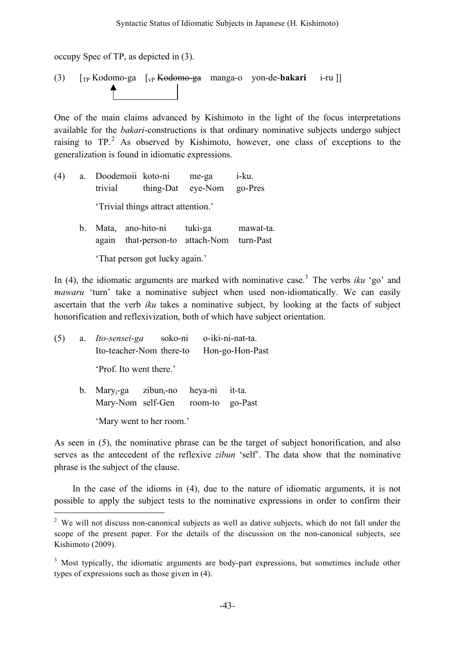occupy Spec of TP, as depicted in (3).

(3) [TP Kodomo-ga [vP Kodomo-ga manga-o yon-de-**bakari** i-ru ]]

One of the main claims advanced by Kishimoto in the light of the focus interpretations available for the *bakari*-constructions is that ordinary nominative subjects undergo subject raising to  $TP.^2$  As observed by Kishimoto, however, one class of exceptions to the generalization is found in idiomatic expressions.

- (4) a. Doodemoii koto-ni me-ga i-ku. trivial thing-Dat eye-Nom go-Pres 'Trivial things attract attention.'
	- b. Mata, ano-hito-ni tuki-ga mawat-ta. again that-person-to attach-Nom turn-Past 'That person got lucky again.'

In (4), the idiomatic arguments are marked with nominative case. <sup>3</sup> The verbs *iku* 'go' and *mawaru* 'turn' take a nominative subject when used non-idiomatically. We can easily ascertain that the verb *iku* takes a nominative subject, by looking at the facts of subject honorification and reflexivization, both of which have subject orientation.

(5) a. *Ito-sensei-ga* soko-ni o-iki-ni-nat-ta. Ito-teacher-Nom there-to Hon-go-Hon-Past 'Prof. Ito went there.'

> b. Mary<sub>i</sub>-ga zibun<sub>i</sub>-no heya-ni it-ta. Mary-Nom self-Gen room-to go-Past 'Mary went to her room.'

As seen in (5), the nominative phrase can be the target of subject honorification, and also serves as the antecedent of the reflexive *zibun* 'self'. The data show that the nominative phrase is the subject of the clause.

In the case of the idioms in (4), due to the nature of idiomatic arguments, it is not possible to apply the subject tests to the nominative expressions in order to confirm their

<sup>&</sup>lt;sup>2</sup> We will not discuss non-canonical subjects as well as dative subjects, which do not fall under the scope of the present paper. For the details of the discussion on the non-canonical subjects, see Kishimoto (2009).

<sup>&</sup>lt;sup>3</sup> Most typically, the idiomatic arguments are body-part expressions, but sometimes include other types of expressions such as those given in (4).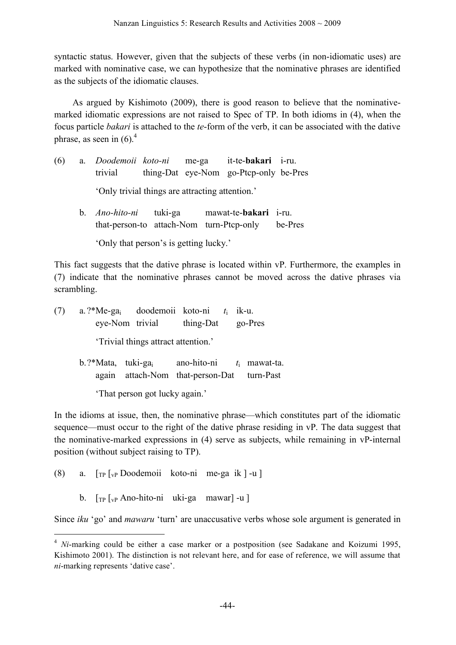syntactic status. However, given that the subjects of these verbs (in non-idiomatic uses) are marked with nominative case, we can hypothesize that the nominative phrases are identified as the subjects of the idiomatic clauses.

As argued by Kishimoto (2009), there is good reason to believe that the nominativemarked idiomatic expressions are not raised to Spec of TP. In both idioms in (4), when the focus particle *bakari* is attached to the *te*-form of the verb, it can be associated with the dative phrase, as seen in  $(6)$ .<sup>4</sup>

| (6) |                                                 | a. Doodemoii koto-ni me-ga |  |  | it-te-bakari i-ru.                     |  |
|-----|-------------------------------------------------|----------------------------|--|--|----------------------------------------|--|
|     |                                                 | trivial                    |  |  | thing-Dat eye-Nom go-Ptcp-only be-Pres |  |
|     | 'Only trivial things are attracting attention.' |                            |  |  |                                        |  |

b. *Ano-hito-ni* tuki-ga mawat-te-**bakari** i-ru. that-person-to attach-Nom turn-Ptcp-only be-Pres

'Only that person's is getting lucky.'

This fact suggests that the dative phrase is located within vP. Furthermore, the examples in (7) indicate that the nominative phrases cannot be moved across the dative phrases via scrambling.

(7) a. ?\*Me-gai doodemoii koto-ni *t*<sup>i</sup> ik-u. eye-Nom trivial thing-Dat go-Pres 'Trivial things attract attention.' b.?\*Mata, tuki-gai ano-hito-ni *t*<sup>i</sup> mawat-ta. again attach-Nom that-person-Dat turn-Past

'That person got lucky again.'

In the idioms at issue, then, the nominative phrase—which constitutes part of the idiomatic sequence—must occur to the right of the dative phrase residing in vP. The data suggest that the nominative-marked expressions in (4) serve as subjects, while remaining in vP-internal position (without subject raising to TP).

- (8) a. [TP [vP Doodemoii koto-ni me-ga ik ] -u ]
	- b. [TP [vP Ano-hito-ni uki-ga mawar] -u ]

Since *iku* 'go' and *mawaru* 'turn' are unaccusative verbs whose sole argument is generated in

<sup>&</sup>lt;sup>4</sup> *Ni*-marking could be either a case marker or a postposition (see Sadakane and Koizumi 1995, Kishimoto 2001). The distinction is not relevant here, and for ease of reference, we will assume that *ni*-marking represents 'dative case'.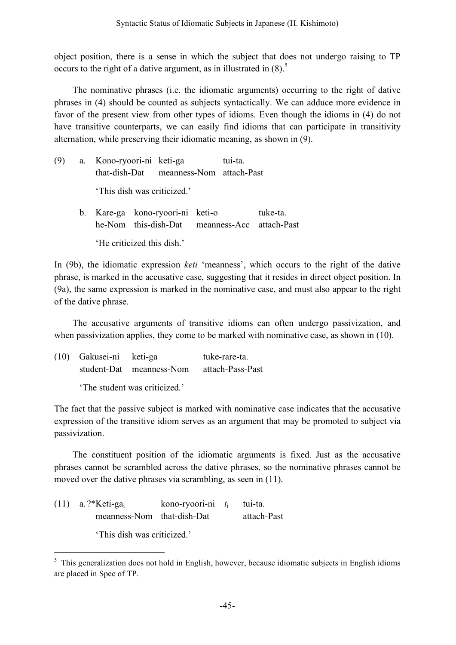object position, there is a sense in which the subject that does not undergo raising to TP occurs to the right of a dative argument, as in illustrated in  $(8)$ .<sup>5</sup>

The nominative phrases (i.e. the idiomatic arguments) occurring to the right of dative phrases in (4) should be counted as subjects syntactically. We can adduce more evidence in favor of the present view from other types of idioms. Even though the idioms in (4) do not have transitive counterparts, we can easily find idioms that can participate in transitivity alternation, while preserving their idiomatic meaning, as shown in (9).

| (9) | a. Kono-ryoori-ni keti-ga<br>that-dish-Dat meanness-Nom attach-Past               |  | tui-ta. |          |
|-----|-----------------------------------------------------------------------------------|--|---------|----------|
|     | 'This dish was criticized.'                                                       |  |         |          |
|     | b. Kare-ga kono-ryoori-ni keti-o<br>he-Nom this-dish-Dat meanness-Acc attach-Past |  |         | tuke-ta. |

'He criticized this dish.'

In (9b), the idiomatic expression *keti* 'meanness', which occurs to the right of the dative phrase, is marked in the accusative case, suggesting that it resides in direct object position. In (9a), the same expression is marked in the nominative case, and must also appear to the right of the dative phrase.

The accusative arguments of transitive idioms can often undergo passivization, and when passivization applies, they come to be marked with nominative case, as shown in (10).

| (10) Gakusei-ni keti-ga |                                           | tuke-rare-ta. |
|-------------------------|-------------------------------------------|---------------|
|                         | student-Dat meanness-Nom attach-Pass-Past |               |
|                         | The student was criticized.'              |               |

The fact that the passive subject is marked with nominative case indicates that the accusative expression of the transitive idiom serves as an argument that may be promoted to subject via passivization.

The constituent position of the idiomatic arguments is fixed. Just as the accusative phrases cannot be scrambled across the dative phrases, so the nominative phrases cannot be moved over the dative phrases via scrambling, as seen in  $(11)$ .

(11) a. ?\*Keti-gai kono-ryoori-ni *t*<sup>i</sup> tui-ta. meanness-Nom that-dish-Dat attach-Past 'This dish was criticized.'

<sup>&</sup>lt;sup>5</sup> This generalization does not hold in English, however, because idiomatic subjects in English idioms are placed in Spec of TP.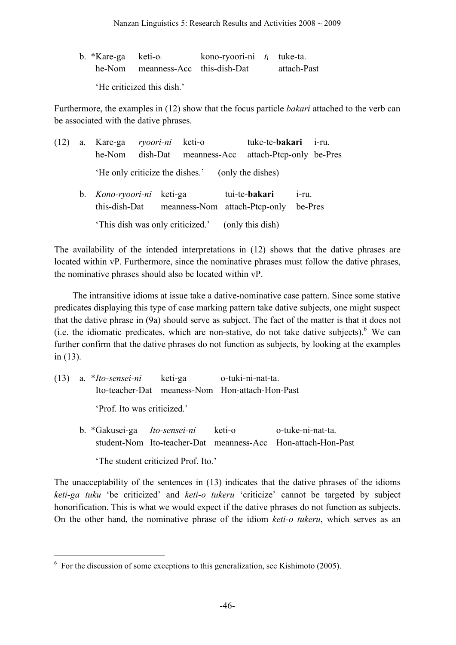| b. $*$ Kare-ga keti-o |                                   | kono-ryoori-ni $t_i$ tuke-ta. |             |
|-----------------------|-----------------------------------|-------------------------------|-------------|
|                       | he-Nom meanness-Acc this-dish-Dat |                               | attach-Past |
|                       | 'He criticized this dish.'        |                               |             |

Furthermore, the examples in (12) show that the focus particle *bakari* attached to the verb can be associated with the dative phrases.

| (12) | a. | Kare-ga<br>he-Nom                         | ryoori-ni<br>dish-Dat | keti-o<br>meanness-Acc | tuke-te- <b>bakari</b><br>attach-Ptcp-only be-Pres |                     | $1-T11$ |
|------|----|-------------------------------------------|-----------------------|------------------------|----------------------------------------------------|---------------------|---------|
|      |    | He only criticize the dishes.'            |                       |                        | (only the dishes)                                  |                     |         |
|      |    | b. <i>Kono-ryoori-ni</i><br>this-dish-Dat | keti-ga               |                        | tui-te-bakari<br>meanness-Nom attach-Ptcp-only     | $1-TU$ .<br>be-Pres |         |
|      |    | This dish was only criticized.            |                       |                        | (only this dish)                                   |                     |         |

The availability of the intended interpretations in (12) shows that the dative phrases are located within vP. Furthermore, since the nominative phrases must follow the dative phrases, the nominative phrases should also be located within vP.

The intransitive idioms at issue take a dative-nominative case pattern. Since some stative predicates displaying this type of case marking pattern take dative subjects, one might suspect that the dative phrase in (9a) should serve as subject. The fact of the matter is that it does not (i.e. the idiomatic predicates, which are non-stative, do not take dative subjects). We can further confirm that the dative phrases do not function as subjects, by looking at the examples in (13).

|  | (13) a. <i>*Ito-sensei-ni</i> keti-ga o-tuki-ni-nat-ta. |                                                                                                                 |                                                 |  |  |
|--|---------------------------------------------------------|-----------------------------------------------------------------------------------------------------------------|-------------------------------------------------|--|--|
|  |                                                         |                                                                                                                 | Ito-teacher-Dat meaness-Nom Hon-attach-Hon-Past |  |  |
|  | 'Prof. Ito was criticized.'                             |                                                                                                                 |                                                 |  |  |
|  |                                                         | the contract of the contract of the contract of the contract of the contract of the contract of the contract of |                                                 |  |  |

b. \*Gakusei-ga *Ito-sensei-ni* keti-o o-tuke-ni-nat-ta. student-Nom Ito-teacher-Dat meanness-Acc Hon-attach-Hon-Past 'The student criticized Prof. Ito.'

The unacceptability of the sentences in (13) indicates that the dative phrases of the idioms *keti-ga tuku* 'be criticized' and *keti-o tukeru* 'criticize' cannot be targeted by subject honorification. This is what we would expect if the dative phrases do not function as subjects. On the other hand, the nominative phrase of the idiom *keti-o tukeru*, which serves as an

 $6$  For the discussion of some exceptions to this generalization, see Kishimoto (2005).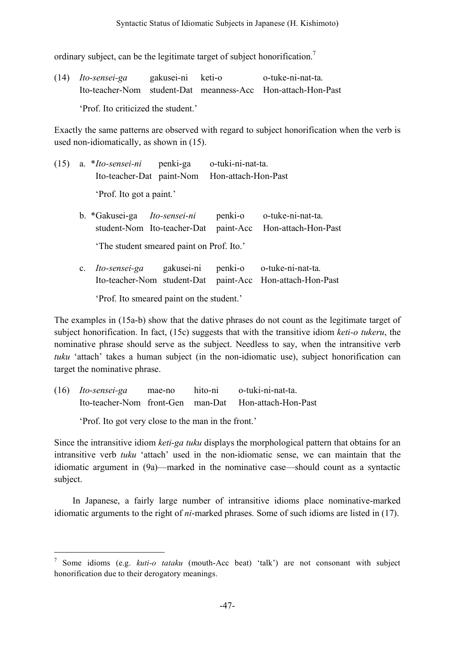ordinary subject, can be the legitimate target of subject honorification.<sup>7</sup>

|                                     | $(14)$ <i>Ito-sensei-ga</i> | gakusei-ni keti-o |  | o-tuke-ni-nat-ta.                                            |
|-------------------------------------|-----------------------------|-------------------|--|--------------------------------------------------------------|
|                                     |                             |                   |  | Ito-teacher-Nom student-Dat meanness-Acc Hon-attach-Hon-Past |
| 'Prof. Ito criticized the student.' |                             |                   |  |                                                              |

Exactly the same patterns are observed with regard to subject honorification when the verb is used non-idiomatically, as shown in (15).

|  | (15) a. <i>*Ito-sensei-ni</i> penki-ga o-tuki-ni-nat-ta. |                                               |  |
|--|----------------------------------------------------------|-----------------------------------------------|--|
|  |                                                          | Ito-teacher-Dat paint-Nom Hon-attach-Hon-Past |  |
|  | 'Prof. Ito got a paint.'                                 |                                               |  |
|  |                                                          |                                               |  |

b. \*Gakusei-ga *Ito-sensei-ni* penki-o o-tuke-ni-nat-ta. student-Nom Ito-teacher-Dat paint-Acc Hon-attach-Hon-Past 'The student smeared paint on Prof. Ito.'

c. *Ito-sensei-ga* gakusei-ni penki-o o-tuke-ni-nat-ta. Ito-teacher-Nom student-Dat paint-Acc Hon-attach-Hon-Past

'Prof. Ito smeared paint on the student.'

The examples in (15a-b) show that the dative phrases do not count as the legitimate target of subject honorification. In fact, (15c) suggests that with the transitive idiom *keti-o tukeru*, the nominative phrase should serve as the subject. Needless to say, when the intransitive verb *tuku* 'attach' takes a human subject (in the non-idiomatic use), subject honorification can target the nominative phrase.

(16) *Ito-sensei-ga* mae-no hito-ni o-tuki-ni-nat-ta. Ito-teacher-Nom front-Gen man-Dat Hon-attach-Hon-Past

'Prof. Ito got very close to the man in the front.'

Since the intransitive idiom *keti-ga tuku* displays the morphological pattern that obtains for an intransitive verb *tuku* 'attach' used in the non-idiomatic sense, we can maintain that the idiomatic argument in (9a)—marked in the nominative case—should count as a syntactic subject.

In Japanese, a fairly large number of intransitive idioms place nominative-marked idiomatic arguments to the right of *ni*-marked phrases. Some of such idioms are listed in (17).

 <sup>7</sup> Some idioms (e.g. *kuti-o tataku* (mouth-Acc beat) 'talk') are not consonant with subject honorification due to their derogatory meanings.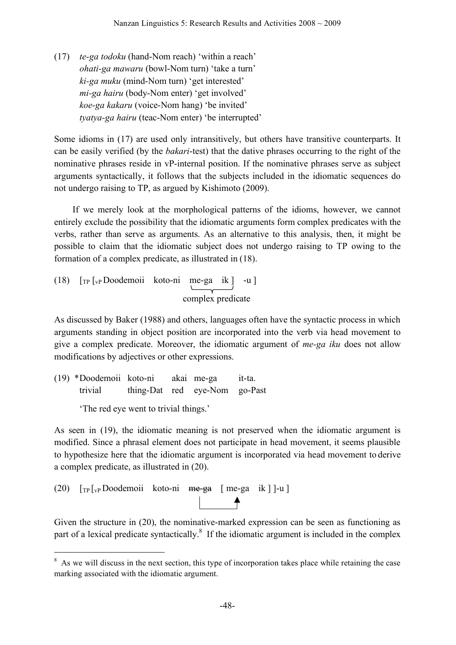(17) *te-ga todoku* (hand-Nom reach) 'within a reach' *ohati-ga mawaru* (bowl-Nom turn) 'take a turn' *ki-ga muku* (mind-Nom turn) 'get interested' *mi-ga hairu* (body-Nom enter) 'get involved' *koe-ga kakaru* (voice-Nom hang) 'be invited' *tyatya-ga hairu* (teac-Nom enter) 'be interrupted'

Some idioms in (17) are used only intransitively, but others have transitive counterparts. It can be easily verified (by the *bakari*-test) that the dative phrases occurring to the right of the nominative phrases reside in vP-internal position. If the nominative phrases serve as subject arguments syntactically, it follows that the subjects included in the idiomatic sequences do not undergo raising to TP, as argued by Kishimoto (2009).

If we merely look at the morphological patterns of the idioms, however, we cannot entirely exclude the possibility that the idiomatic arguments form complex predicates with the verbs, rather than serve as arguments. As an alternative to this analysis, then, it might be possible to claim that the idiomatic subject does not undergo raising to TP owing to the formation of a complex predicate, as illustrated in (18).

(18) 
$$
\begin{bmatrix} \text{TP} \left[ v \text{p} \text{Doodemoii} & \text{koto-ni} & \text{me-ga} & \text{ik} \right] & -u \end{bmatrix}
$$
complex predicate

As discussed by Baker (1988) and others, languages often have the syntactic process in which arguments standing in object position are incorporated into the verb via head movement to give a complex predicate. Moreover, the idiomatic argument of *me-ga iku* does not allow modifications by adjectives or other expressions.

(19) \*Doodemoii koto-ni akai me-ga it-ta. trivial thing-Dat red eye-Nom go-Past

'The red eye went to trivial things.'

As seen in (19), the idiomatic meaning is not preserved when the idiomatic argument is modified. Since a phrasal element does not participate in head movement, it seems plausible to hypothesize here that the idiomatic argument is incorporated via head movement to derive a complex predicate, as illustrated in (20).

(20) 
$$
\left[\text{TP} \left[\text{VP} \text{Doodemoii} \mid \text{koto-ni} \mid \text{me-ga} \mid \text{me-ga} \mid \text{k} \right] \right] - u
$$

Given the structure in (20), the nominative-marked expression can be seen as functioning as part of a lexical predicate syntactically.<sup>8</sup> If the idiomatic argument is included in the complex

<sup>&</sup>lt;sup>8</sup> As we will discuss in the next section, this type of incorporation takes place while retaining the case marking associated with the idiomatic argument.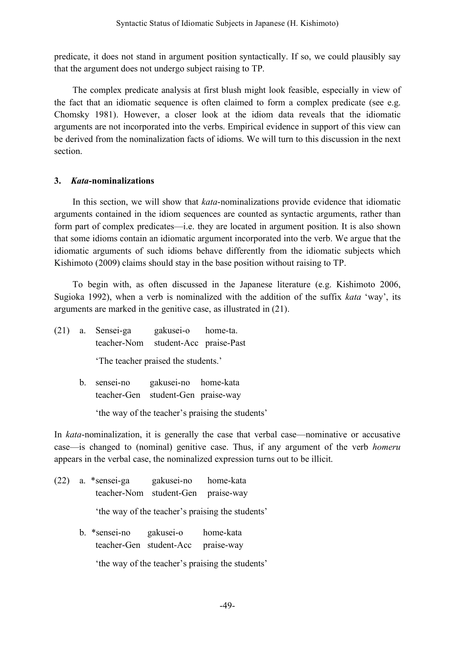predicate, it does not stand in argument position syntactically. If so, we could plausibly say that the argument does not undergo subject raising to TP.

The complex predicate analysis at first blush might look feasible, especially in view of the fact that an idiomatic sequence is often claimed to form a complex predicate (see e.g. Chomsky 1981). However, a closer look at the idiom data reveals that the idiomatic arguments are not incorporated into the verbs. Empirical evidence in support of this view can be derived from the nominalization facts of idioms. We will turn to this discussion in the next section.

# **3.** *Kata***-nominalizations**

In this section, we will show that *kata*-nominalizations provide evidence that idiomatic arguments contained in the idiom sequences are counted as syntactic arguments, rather than form part of complex predicates—i.e. they are located in argument position. It is also shown that some idioms contain an idiomatic argument incorporated into the verb. We argue that the idiomatic arguments of such idioms behave differently from the idiomatic subjects which Kishimoto (2009) claims should stay in the base position without raising to TP.

To begin with, as often discussed in the Japanese literature (e.g. Kishimoto 2006, Sugioka 1992), when a verb is nominalized with the addition of the suffix *kata* 'way', its arguments are marked in the genitive case, as illustrated in (21).

(21) a. Sensei-ga gakusei-o home-ta. teacher-Nom student-Acc praise-Past

'The teacher praised the students.'

b. sensei-no gakusei-no home-kata teacher-Gen student-Gen praise-way

'the way of the teacher's praising the students'

In *kata*-nominalization, it is generally the case that verbal case—nominative or accusative case—is changed to (nominal) genitive case. Thus, if any argument of the verb *homeru* appears in the verbal case, the nominalized expression turns out to be illicit.

(22) a. \*sensei-ga gakusei-no home-kata teacher-Nom student-Gen praise-way 'the way of the teacher's praising the students' b. \*sensei-no gakusei-o home-kata teacher-Gen student-Acc praise-way

'the way of the teacher's praising the students'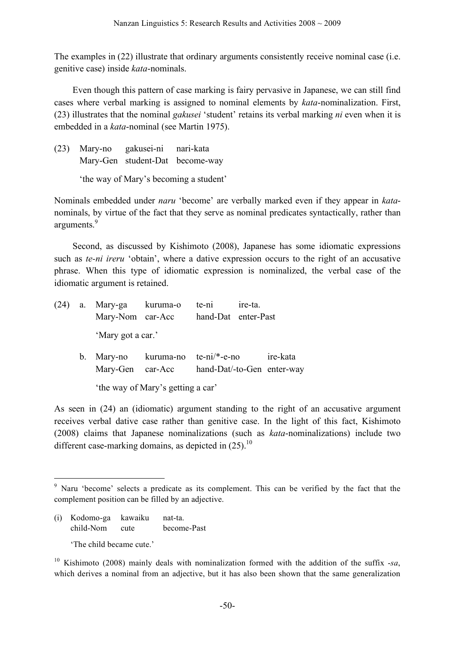The examples in (22) illustrate that ordinary arguments consistently receive nominal case (i.e. genitive case) inside *kata*-nominals.

Even though this pattern of case marking is fairy pervasive in Japanese, we can still find cases where verbal marking is assigned to nominal elements by *kata*-nominalization. First, (23) illustrates that the nominal *gakusei* 'student' retains its verbal marking *ni* even when it is embedded in a *kata*-nominal (see Martin 1975).

(23) Mary-no gakusei-ni nari-kata Mary-Gen student-Dat become-way 'the way of Mary's becoming a student'

Nominals embedded under *naru* 'become' are verbally marked even if they appear in *kata*nominals, by virtue of the fact that they serve as nominal predicates syntactically, rather than arguments.<sup>9</sup>

Second, as discussed by Kishimoto (2008), Japanese has some idiomatic expressions such as *te-ni ireru* 'obtain', where a dative expression occurs to the right of an accusative phrase. When this type of idiomatic expression is nominalized, the verbal case of the idiomatic argument is retained.

| (24) |             | a. Mary-ga kuruma-o<br>Mary-Nom car-Acc |                                         | te-ni<br>hand-Dat enter-Past | ire-ta. |  |
|------|-------------|-----------------------------------------|-----------------------------------------|------------------------------|---------|--|
|      |             | 'Mary got a car.'                       |                                         |                              |         |  |
|      | $b_{\cdot}$ | Mary-Gen car-Acc                        | Mary-no kuruma-no te-ni/*-e-no ire-kata | hand-Dat/-to-Gen enter-way   |         |  |
|      |             |                                         | 'the way of Mary's getting a car'       |                              |         |  |

As seen in (24) an (idiomatic) argument standing to the right of an accusative argument receives verbal dative case rather than genitive case. In the light of this fact, Kishimoto (2008) claims that Japanese nominalizations (such as *kata*-nominalizations) include two different case-marking domains, as depicted in  $(25)$ .<sup>10</sup>

(i) Kodomo-ga kawaiku nat-ta. child-Nom cute become-Past

'The child became cute.'

<sup>&</sup>lt;sup>9</sup> Naru 'become' selects a predicate as its complement. This can be verified by the fact that the complement position can be filled by an adjective.

<sup>10</sup> Kishimoto (2008) mainly deals with nominalization formed with the addition of the suffix -*sa*, which derives a nominal from an adjective, but it has also been shown that the same generalization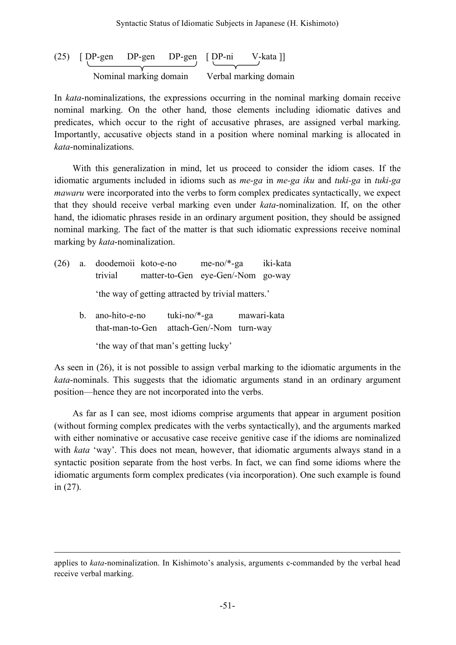(25) 
$$
[D^P\text{-gen} \t D^P\text{-gen} \t D^P\text{-gen} \t D^P\text{-gen} \t D^P\text{-gen} \t D^P\text{-gen} \t D^P\text{-gen} \t D^P\text{-gen} \t D^P\text{-gen} \t D^P\text{-gen} \t D^P\text{-gen} \t D^P\text{-gen} \t D^P\text{-gen} \t D^P\text{-gen} \t D^P\text{-gen} \t D^P\text{-gen} \t D^P\text{-gen} \t D^P\text{-gen} \t D^P\text{-gen} \t D^P\text{-gen} \t D^P\text{-gen} \t D^P\text{-gen} \t D^P\text{-gen} \t D^P\text{-gen} \t D^P\text{-gen} \t D^P\text{-gen} \t D^P\text{-gen} \t D^P\text{-gen} \t D^P\text{-gen} \t D^P\text{-gen} \t D^P\text{-gen} \t D^P\text{-gen} \t D^P\text{-gen} \t D^P\text{-gen} \t D^P\text{-gen} \t D^P\text{-gen} \t D^P\text{-gen} \t D^P\text{-gen} \t D^P\text{-gen} \t D^P\text{-gen} \t D^P\text{-gen} \t D^P\text{-gen} \t D^P\text{-gen} \t D^P\text{-gen} \t D^P\text{-gen} \t D^P\text{-gen} \t D^P\text{-gen} \t D^P\text{-gen} \t D^P\text{-gen} \t D^P\text{-gen} \t D^P\text{-gen} \t D^P\text{-gen} \t D^P\text{-gen} \t D^P\text{-gen} \t D^P\text{-gen} \t D^P\text{-gen} \t D^P\text{-gen} \t D^P\text{-gen} \t D^P\text{-gen} \t D^P\text{-gen} \t D^P\text{-gen} \t D^P\text{-gen} \t D^P\text{-gen} \t D^P\text{-gen} \t D^P\text{-gen} \t D^P\text{-gen} \t D^P\text{-gen} \t D^P\text{-gen} \t D^P\text{-gen} \t D^P\text{-gen} \t D^P\text{-gen} \t D^P\text{-gen} \t D^P\text{-gen} \t D^P\text{-gen} \t D^P\text{-gen} \t D^P\
$$

In *kata*-nominalizations, the expressions occurring in the nominal marking domain receive nominal marking. On the other hand, those elements including idiomatic datives and predicates, which occur to the right of accusative phrases, are assigned verbal marking. Importantly, accusative objects stand in a position where nominal marking is allocated in *kata*-nominalizations.

With this generalization in mind, let us proceed to consider the idiom cases. If the idiomatic arguments included in idioms such as *me-ga* in *me-ga iku* and *tuki-ga* in *tuki-ga mawaru* were incorporated into the verbs to form complex predicates syntactically, we expect that they should receive verbal marking even under *kata*-nominalization. If, on the other hand, the idiomatic phrases reside in an ordinary argument position, they should be assigned nominal marking. The fact of the matter is that such idiomatic expressions receive nominal marking by *kata*-nominalization.

- (26) a. doodemoii koto-e-no me-no/\*-ga iki-kata trivial matter-to-Gen eye-Gen/-Nom go-way 'the way of getting attracted by trivial matters.'
	- b. ano-hito-e-no tuki-no/\*-ga mawari-kata that-man-to-Gen attach-Gen/-Nom turn-way

'the way of that man's getting lucky'

 $\overline{a}$ 

As seen in (26), it is not possible to assign verbal marking to the idiomatic arguments in the *kata*-nominals. This suggests that the idiomatic arguments stand in an ordinary argument position—hence they are not incorporated into the verbs.

As far as I can see, most idioms comprise arguments that appear in argument position (without forming complex predicates with the verbs syntactically), and the arguments marked with either nominative or accusative case receive genitive case if the idioms are nominalized with *kata* 'way'. This does not mean, however, that idiomatic arguments always stand in a syntactic position separate from the host verbs. In fact, we can find some idioms where the idiomatic arguments form complex predicates (via incorporation). One such example is found in (27).

applies to *kata*-nominalization. In Kishimoto's analysis, arguments c-commanded by the verbal head receive verbal marking.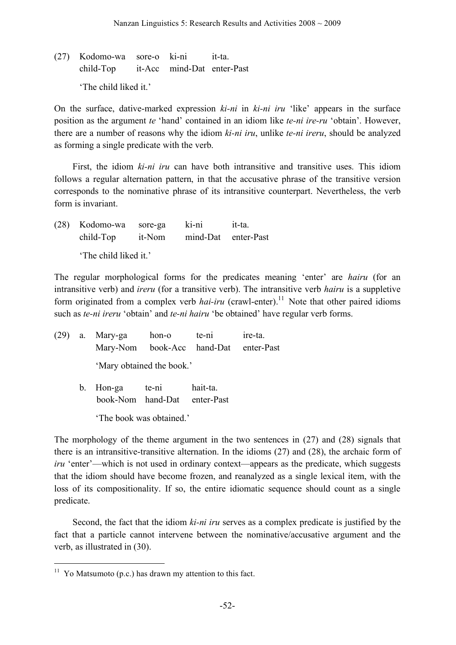(27) Kodomo-wa sore-o ki-ni it-ta. child-Top it-Acc mind-Dat enter-Past 'The child liked it.'

On the surface, dative-marked expression *ki-ni* in *ki-ni iru* 'like' appears in the surface position as the argument *te* 'hand' contained in an idiom like *te-ni ire-ru* 'obtain'. However, there are a number of reasons why the idiom *ki-ni iru*, unlike *te-ni ireru*, should be analyzed as forming a single predicate with the verb.

First, the idiom *ki-ni iru* can have both intransitive and transitive uses. This idiom follows a regular alternation pattern, in that the accusative phrase of the transitive version corresponds to the nominative phrase of its intransitive counterpart. Nevertheless, the verb form is invariant.

(28) Kodomo-wa sore-ga ki-ni it-ta. child-Top it-Nom mind-Dat enter-Past 'The child liked it.'

The regular morphological forms for the predicates meaning 'enter' are *hairu* (for an intransitive verb) and *ireru* (for a transitive verb). The intransitive verb *hairu* is a suppletive form originated from a complex verb *hai-iru* (crawl-enter).<sup>11</sup> Note that other paired idioms such as *te-ni ireru* 'obtain' and *te-ni hairu* 'be obtained' have regular verb forms.

|  | $(29)$ a. Mary-ga                     | hon-o                     | te-ni    | ire-ta. |
|--|---------------------------------------|---------------------------|----------|---------|
|  | Mary-Nom book-Acc hand-Dat enter-Past |                           |          |         |
|  |                                       | 'Mary obtained the book.' |          |         |
|  | b. Hon-ga                             | te-ni                     | hait-ta. |         |

book-Nom hand-Dat enter-Past

'The book was obtained.'

The morphology of the theme argument in the two sentences in (27) and (28) signals that there is an intransitive-transitive alternation. In the idioms (27) and (28), the archaic form of *iru* 'enter'—which is not used in ordinary context—appears as the predicate, which suggests that the idiom should have become frozen, and reanalyzed as a single lexical item, with the loss of its compositionality. If so, the entire idiomatic sequence should count as a single predicate.

Second, the fact that the idiom *ki-ni iru* serves as a complex predicate is justified by the fact that a particle cannot intervene between the nominative/accusative argument and the verb, as illustrated in (30).

 $11$  Yo Matsumoto (p.c.) has drawn my attention to this fact.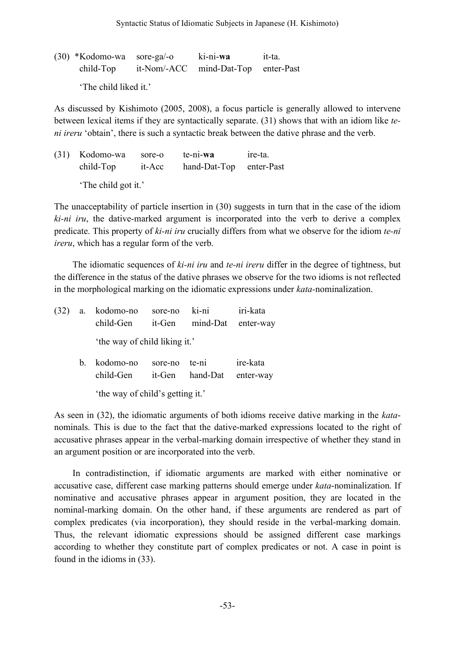(30) \*Kodomo-wa sore-ga/-o ki-ni-**wa** it-ta. child-Top it-Nom/-ACC mind-Dat-Top enter-Past

'The child liked it.'

As discussed by Kishimoto (2005, 2008), a focus particle is generally allowed to intervene between lexical items if they are syntactically separate. (31) shows that with an idiom like *teni ireru* 'obtain', there is such a syntactic break between the dative phrase and the verb.

(31) Kodomo-wa sore-o te-ni-**wa** ire-ta. child-Top it-Acc hand-Dat-Top enter-Past 'The child got it.'

The unacceptability of particle insertion in (30) suggests in turn that in the case of the idiom *ki-ni iru*, the dative-marked argument is incorporated into the verb to derive a complex predicate. This property of *ki-ni iru* crucially differs from what we observe for the idiom *te-ni ireru*, which has a regular form of the verb.

The idiomatic sequences of *ki-ni iru* and *te-ni ireru* differ in the degree of tightness, but the difference in the status of the dative phrases we observe for the two idioms is not reflected in the morphological marking on the idiomatic expressions under *kata-*nominalization.

| (32) | a.             | kodomo-no<br>child-Gen           | sore-no<br>it-Gen | ki-ni<br>mind-Dat | iri-kata<br>enter-way |
|------|----------------|----------------------------------|-------------------|-------------------|-----------------------|
|      |                | 'the way of child liking it.'    |                   |                   |                       |
|      | $\mathbf{b}$ . | kodomo-no<br>child-Gen           | sore-no<br>it-Gen | te-ni<br>hand-Dat | ire-kata<br>enter-way |
|      |                | 'the way of child's getting it.' |                   |                   |                       |

As seen in (32), the idiomatic arguments of both idioms receive dative marking in the *kata*nominals. This is due to the fact that the dative-marked expressions located to the right of accusative phrases appear in the verbal-marking domain irrespective of whether they stand in an argument position or are incorporated into the verb.

In contradistinction, if idiomatic arguments are marked with either nominative or accusative case, different case marking patterns should emerge under *kata*-nominalization. If nominative and accusative phrases appear in argument position, they are located in the nominal-marking domain. On the other hand, if these arguments are rendered as part of complex predicates (via incorporation), they should reside in the verbal-marking domain. Thus, the relevant idiomatic expressions should be assigned different case markings according to whether they constitute part of complex predicates or not. A case in point is found in the idioms in (33).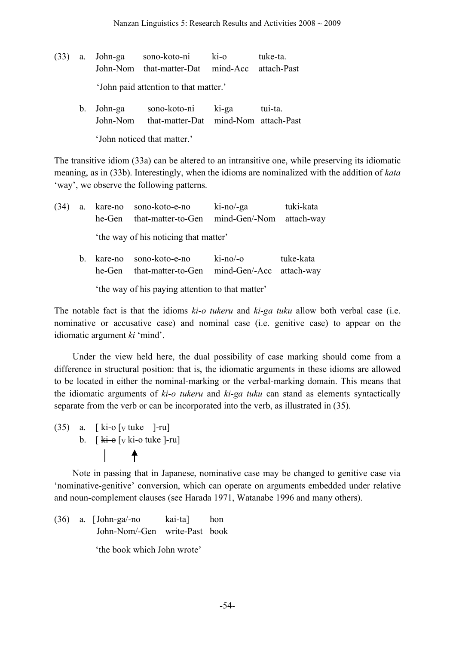- (33) a. John-ga sono-koto-ni ki-o tuke-ta. John-Nom that-matter-Dat mind-Acc attach-Past 'John paid attention to that matter.' b. John-ga sono-koto-ni ki-ga tui-ta.
	- John-Nom that-matter-Dat mind-Nom attach-Past 'John noticed that matter.'

The transitive idiom (33a) can be altered to an intransitive one, while preserving its idiomatic meaning, as in (33b). Interestingly, when the idioms are nominalized with the addition of *kata* 'way', we observe the following patterns.

(34) a. kare-no sono-koto-e-no ki-no/-ga tuki-kata he-Gen that-matter-to-Gen mind-Gen/-Nom attach-way 'the way of his noticing that matter'

b. kare-no sono-koto-e-no ki-no/-o tuke-kata he-Gen that-matter-to-Gen mind-Gen/-Acc attach-way 'the way of his paying attention to that matter'

The notable fact is that the idioms *ki-o tukeru* and *ki-ga tuku* allow both verbal case (i.e. nominative or accusative case) and nominal case (i.e. genitive case) to appear on the idiomatic argument *ki* 'mind'.

Under the view held here, the dual possibility of case marking should come from a difference in structural position: that is, the idiomatic arguments in these idioms are allowed to be located in either the nominal-marking or the verbal-marking domain. This means that the idiomatic arguments of *ki-o tukeru* and *ki-ga tuku* can stand as elements syntactically separate from the verb or can be incorporated into the verb, as illustrated in (35).

 $(35)$  a. [ki-o [y tuke ]-ru] b.  $\left[\right]$  ki- $\Theta$   $\left[\right]$  ki- $\left[\right]$  ki- $\left[\right]$  ki- $\left[\right]$  ki- $\left[\right]$ 

Note in passing that in Japanese, nominative case may be changed to genitive case via 'nominative-genitive' conversion, which can operate on arguments embedded under relative and noun-complement clauses (see Harada 1971, Watanabe 1996 and many others).

(36) a. [John-ga/-no kai-ta] hon John-Nom/-Gen write-Past book 'the book which John wrote'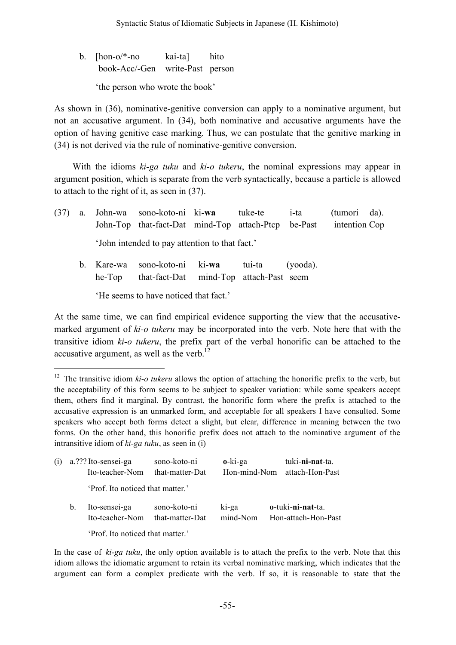b. [hon-o/\*-no kai-ta] hito book-Acc/-Gen write-Past person 'the person who wrote the book'

As shown in (36), nominative-genitive conversion can apply to a nominative argument, but not an accusative argument. In (34), both nominative and accusative arguments have the option of having genitive case marking. Thus, we can postulate that the genitive marking in (34) is not derived via the rule of nominative-genitive conversion.

With the idioms *ki-ga tuku* and *ki-o tukeru*, the nominal expressions may appear in argument position, which is separate from the verb syntactically, because a particle is allowed to attach to the right of it, as seen in (37).

| (37) | a. |                                       | John-wa sono-koto-ni ki-wa tuke-te<br>John-Top that-fact-Dat mind-Top attach-Ptcp be-Past |  |  | i-ta        | (tumori da).<br>intention Cop |  |
|------|----|---------------------------------------|-------------------------------------------------------------------------------------------|--|--|-------------|-------------------------------|--|
|      |    |                                       | 'John intended to pay attention to that fact.'                                            |  |  |             |                               |  |
|      |    | b. Kare-wa<br>he-Top                  | sono-koto-ni ki-wa tui-ta<br>that-fact-Dat mind-Top attach-Past seem                      |  |  | $(vooda)$ . |                               |  |
|      |    | 'He seems to have noticed that fact.' |                                                                                           |  |  |             |                               |  |

At the same time, we can find empirical evidence supporting the view that the accusativemarked argument of *ki-o tukeru* may be incorporated into the verb. Note here that with the transitive idiom *ki-o tukeru*, the prefix part of the verbal honorific can be attached to the accusative argument, as well as the verb.<sup>12</sup>

<sup>&</sup>lt;sup>12</sup> The transitive idiom *ki-o tukeru* allows the option of attaching the honorific prefix to the verb, but the acceptability of this form seems to be subject to speaker variation: while some speakers accept them, others find it marginal. By contrast, the honorific form where the prefix is attached to the accusative expression is an unmarked form, and acceptable for all speakers I have consulted. Some speakers who accept both forms detect a slight, but clear, difference in meaning between the two forms. On the other hand, this honorific prefix does not attach to the nominative argument of the intransitive idiom of *ki-ga tuku*, as seen in (i)

| (i) | a.??? Ito-sensei-ga<br>Ito-teacher-Nom |                                  | sono-koto-ni<br>that-matter-Dat | $o$ -ki-ga<br>Hon-mind-Nom |  | tuki-ni-nat-ta.<br>attach-Hon-Past       |
|-----|----------------------------------------|----------------------------------|---------------------------------|----------------------------|--|------------------------------------------|
|     |                                        | 'Prof. Ito noticed that matter.' |                                 |                            |  |                                          |
|     | $b_{\cdot}$                            | Ito-sensei-ga<br>Ito-teacher-Nom | sono-koto-ni<br>that-matter-Dat | ki-ga<br>mind-Nom          |  | o-tuki-ni-nat-ta.<br>Hon-attach-Hon-Past |
|     |                                        | 'Prof. Ito noticed that matter.' |                                 |                            |  |                                          |

In the case of *ki-ga tuku*, the only option available is to attach the prefix to the verb. Note that this idiom allows the idiomatic argument to retain its verbal nominative marking, which indicates that the argument can form a complex predicate with the verb. If so, it is reasonable to state that the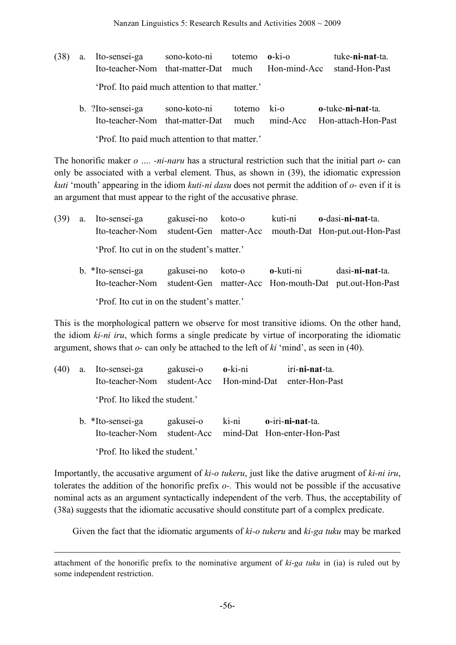- (38) a. Ito-sensei-ga sono-koto-ni totemo **o**-ki-o tuke-**ni-nat**-ta. Ito-teacher-Nom that-matter-Dat much Hon-mind-Acc stand-Hon-Past 'Prof. Ito paid much attention to that matter.'
	- b. ?Ito-sensei-ga sono-koto-ni totemo ki-o **o**-tuke-**ni-nat**-ta. Ito-teacher-Nom that-matter-Dat much mind-Acc Hon-attach-Hon-Past 'Prof. Ito paid much attention to that matter.'

The honorific maker *o …. -ni-naru* has a structural restriction such that the initial part *o*- can only be associated with a verbal element. Thus, as shown in (39), the idiomatic expression *kuti* 'mouth' appearing in the idiom *kuti-ni dasu* does not permit the addition of *o-* even if it is an argument that must appear to the right of the accusative phrase.

- (39) a. Ito-sensei-ga gakusei-no koto-o kuti-ni **o**-dasi-**ni-nat**-ta. Ito-teacher-Nom student-Gen matter-Acc mouth-Dat Hon-put.out-Hon-Past 'Prof. Ito cut in on the student's matter.'
	- b. \*Ito-sensei-ga gakusei-no koto-o **o**-kuti-ni dasi-**ni-nat**-ta. Ito-teacher-Nom student-Gen matter-Acc Hon-mouth-Dat put.out-Hon-Past 'Prof. Ito cut in on the student's matter.'

This is the morphological pattern we observe for most transitive idioms. On the other hand, the idiom *ki-ni iru*, which forms a single predicate by virtue of incorporating the idiomatic argument, shows that *o-* can only be attached to the left of *ki* 'mind', as seen in (40).

- (40) a. Ito-sensei-ga gakusei-o **o**-ki-ni iri-**ni-nat**-ta. Ito-teacher-Nom student-Acc Hon-mind-Dat enter-Hon-Past 'Prof. Ito liked the student.'
	- b. \*Ito-sensei-ga gakusei-o ki-ni **o**-iri-**ni-nat**-ta. Ito-teacher-Nom student-Acc mind-Dat Hon-enter-Hon-Past 'Prof. Ito liked the student.'

Importantly, the accusative argument of *ki-o tukeru*, just like the dative arugment of *ki-ni iru*, tolerates the addition of the honorific prefix *o-.* This would not be possible if the accusative nominal acts as an argument syntactically independent of the verb. Thus, the acceptability of (38a) suggests that the idiomatic accusative should constitute part of a complex predicate.

Given the fact that the idiomatic arguments of *ki-o tukeru* and *ki-ga tuku* may be marked

 $\overline{a}$ 

attachment of the honorific prefix to the nominative argument of *ki-ga tuku* in (ia) is ruled out by some independent restriction.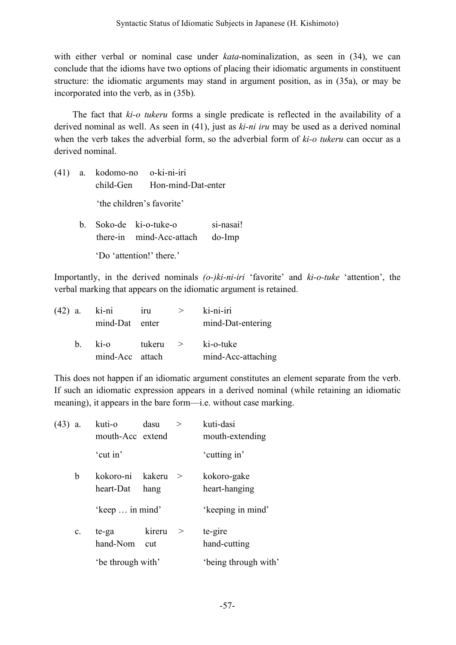with either verbal or nominal case under *kata*-nominalization, as seen in (34), we can conclude that the idioms have two options of placing their idiomatic arguments in constituent structure: the idiomatic arguments may stand in argument position, as in (35a), or may be incorporated into the verb, as in (35b).

The fact that *ki-o tukeru* forms a single predicate is reflected in the availability of a derived nominal as well. As seen in (41), just as *ki-ni iru* may be used as a derived nominal when the verb takes the adverbial form, so the adverbial form of *ki-o tukeru* can occur as a derived nominal.

|  | $(41)$ a. kodomo-no o-ki-ni-iri |  |                                 |           |  |
|--|---------------------------------|--|---------------------------------|-----------|--|
|  |                                 |  | child-Gen Hon-mind-Dat-enter    |           |  |
|  |                                 |  | 'the children's favorite'       |           |  |
|  | b. Soko-de ki-o-tuke-o          |  |                                 | si-nasai! |  |
|  |                                 |  | there-in mind-Acc-attach do-Imp |           |  |

'Do 'attention!' there.'

Importantly, in the derived nominals *(o-)ki-ni-iri* 'favorite' and *ki-o-tuke* 'attention', the verbal marking that appears on the idiomatic argument is retained.

| $(42)$ a. ki-ni | mind-Dat enter             | iru    | $\geq$        | ki-ni-iri<br>mind-Dat-entering  |
|-----------------|----------------------------|--------|---------------|---------------------------------|
| $h_{\perp}$     | $k$ i-o<br>mind-Acc attach | tukeru | $\rightarrow$ | ki-o-tuke<br>mind-Acc-attaching |

This does not happen if an idiomatic argument constitutes an element separate from the verb. If such an idiomatic expression appears in a derived nominal (while retaining an idiomatic meaning), it appears in the bare form—i.e. without case marking.

| $(43)$ a. |    | kuti-o<br>mouth-Acc extend | dasu           | > | kuti-dasi<br>mouth-extending |
|-----------|----|----------------------------|----------------|---|------------------------------|
|           |    | 'cut in'                   |                |   | 'cutting in'                 |
|           | b  | kokoro-ni<br>heart-Dat     | kakeru<br>hang | → | kokoro-gake<br>heart-hanging |
|           |    | 'keep  in mind'            |                |   | 'keeping in mind'            |
|           | c. | te-ga<br>hand-Nom          | kireru<br>cut  | > | te-gire<br>hand-cutting      |
|           |    | 'be through with'          |                |   | 'being through with'         |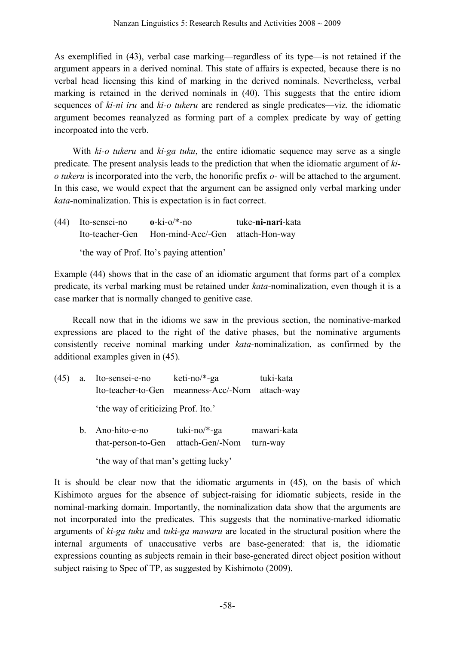As exemplified in (43), verbal case marking—regardless of its type—is not retained if the argument appears in a derived nominal. This state of affairs is expected, because there is no verbal head licensing this kind of marking in the derived nominals. Nevertheless, verbal marking is retained in the derived nominals in (40). This suggests that the entire idiom sequences of *ki-ni iru* and *ki-o tukeru* are rendered as single predicates—viz. the idiomatic argument becomes reanalyzed as forming part of a complex predicate by way of getting incorpoated into the verb.

With *ki-o tukeru* and *ki-ga tuku*, the entire idiomatic sequence may serve as a single predicate. The present analysis leads to the prediction that when the idiomatic argument of *kio tukeru* is incorporated into the verb, the honorific prefix *o-* will be attached to the argument. In this case, we would expect that the argument can be assigned only verbal marking under *kata*-nominalization. This is expectation is in fact correct.

| $(44)$ Ito-sensei-no                      | $o$ -ki-o/*-no                                   | tuke-ni-nari-kata |  |
|-------------------------------------------|--------------------------------------------------|-------------------|--|
|                                           | Ito-teacher-Gen Hon-mind-Acc/-Gen attach-Hon-way |                   |  |
| 'the way of Prof. Ito's paying attention' |                                                  |                   |  |

Example (44) shows that in the case of an idiomatic argument that forms part of a complex predicate, its verbal marking must be retained under *kata*-nominalization, even though it is a case marker that is normally changed to genitive case.

Recall now that in the idioms we saw in the previous section, the nominative-marked expressions are placed to the right of the dative phases, but the nominative arguments consistently receive nominal marking under *kata*-nominalization, as confirmed by the additional examples given in (45).

- (45) a. Ito-sensei-e-no keti-no/\*-ga tuki-kata Ito-teacher-to-Gen meanness-Acc/-Nom attach-way 'the way of criticizing Prof. Ito.'
	- b. Ano-hito-e-no tuki-no/\*-ga mawari-kata that-person-to-Gen attach-Gen/-Nom turn-way

'the way of that man's getting lucky'

It is should be clear now that the idiomatic arguments in (45), on the basis of which Kishimoto argues for the absence of subject-raising for idiomatic subjects, reside in the nominal-marking domain. Importantly, the nominalization data show that the arguments are not incorporated into the predicates. This suggests that the nominative-marked idiomatic arguments of *ki-ga tuku* and *tuki-ga mawaru* are located in the structural position where the internal arguments of unaccusative verbs are base-generated: that is, the idiomatic expressions counting as subjects remain in their base-generated direct object position without subject raising to Spec of TP, as suggested by Kishimoto (2009).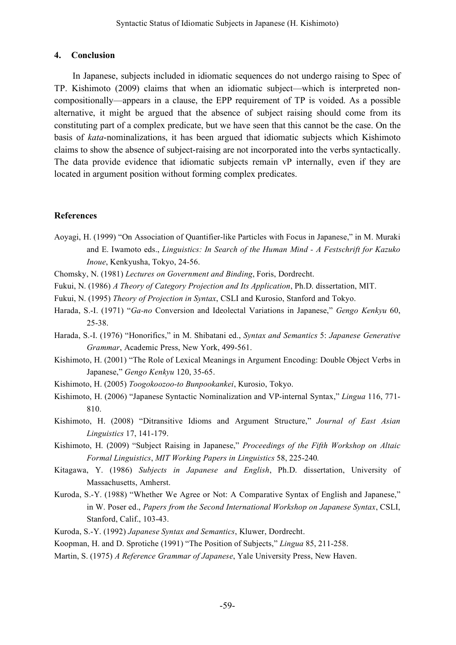## **4. Conclusion**

In Japanese, subjects included in idiomatic sequences do not undergo raising to Spec of TP. Kishimoto (2009) claims that when an idiomatic subject—which is interpreted noncompositionally—appears in a clause, the EPP requirement of TP is voided. As a possible alternative, it might be argued that the absence of subject raising should come from its constituting part of a complex predicate, but we have seen that this cannot be the case. On the basis of *kata*-nominalizations, it has been argued that idiomatic subjects which Kishimoto claims to show the absence of subject-raising are not incorporated into the verbs syntactically. The data provide evidence that idiomatic subjects remain vP internally, even if they are located in argument position without forming complex predicates.

## **References**

- Aoyagi, H. (1999) "On Association of Quantifier-like Particles with Focus in Japanese," in M. Muraki and E. Iwamoto eds., *Linguistics: In Search of the Human Mind - A Festschrift for Kazuko Inoue*, Kenkyusha, Tokyo, 24-56.
- Chomsky, N. (1981) *Lectures on Government and Binding*, Foris, Dordrecht.
- Fukui, N. (1986) *A Theory of Category Projection and Its Application*, Ph.D. dissertation, MIT.
- Fukui, N. (1995) *Theory of Projection in Syntax*, CSLI and Kurosio, Stanford and Tokyo.
- Harada, S.-I. (1971) "*Ga-no* Conversion and Ideolectal Variations in Japanese," *Gengo Kenkyu* 60, 25-38.
- Harada, S.-I. (1976) "Honorifics," in M. Shibatani ed., *Syntax and Semantics* 5: *Japanese Generative Grammar*, Academic Press, New York, 499-561.
- Kishimoto, H. (2001) "The Role of Lexical Meanings in Argument Encoding: Double Object Verbs in Japanese," *Gengo Kenkyu* 120, 35-65.
- Kishimoto, H. (2005) *Toogokoozoo-to Bunpookankei*, Kurosio, Tokyo.
- Kishimoto, H. (2006) "Japanese Syntactic Nominalization and VP-internal Syntax," *Lingua* 116, 771- 810.
- Kishimoto, H. (2008) "Ditransitive Idioms and Argument Structure," *Journal of East Asian Linguistics* 17, 141-179.
- Kishimoto, H. (2009) "Subject Raising in Japanese," *Proceedings of the Fifth Workshop on Altaic Formal Linguistics*, *MIT Working Papers in Linguistics* 58, 225-240*.*
- Kitagawa, Y. (1986) *Subjects in Japanese and English*, Ph.D. dissertation, University of Massachusetts, Amherst.
- Kuroda, S.-Y. (1988) "Whether We Agree or Not: A Comparative Syntax of English and Japanese," in W. Poser ed., *Papers from the Second International Workshop on Japanese Syntax*, CSLI, Stanford, Calif., 103-43.
- Kuroda, S.-Y. (1992) *Japanese Syntax and Semantics*, Kluwer, Dordrecht.
- Koopman, H. and D. Sprotiche (1991) "The Position of Subjects," *Lingua* 85, 211-258.
- Martin, S. (1975) *A Reference Grammar of Japanese*, Yale University Press, New Haven.